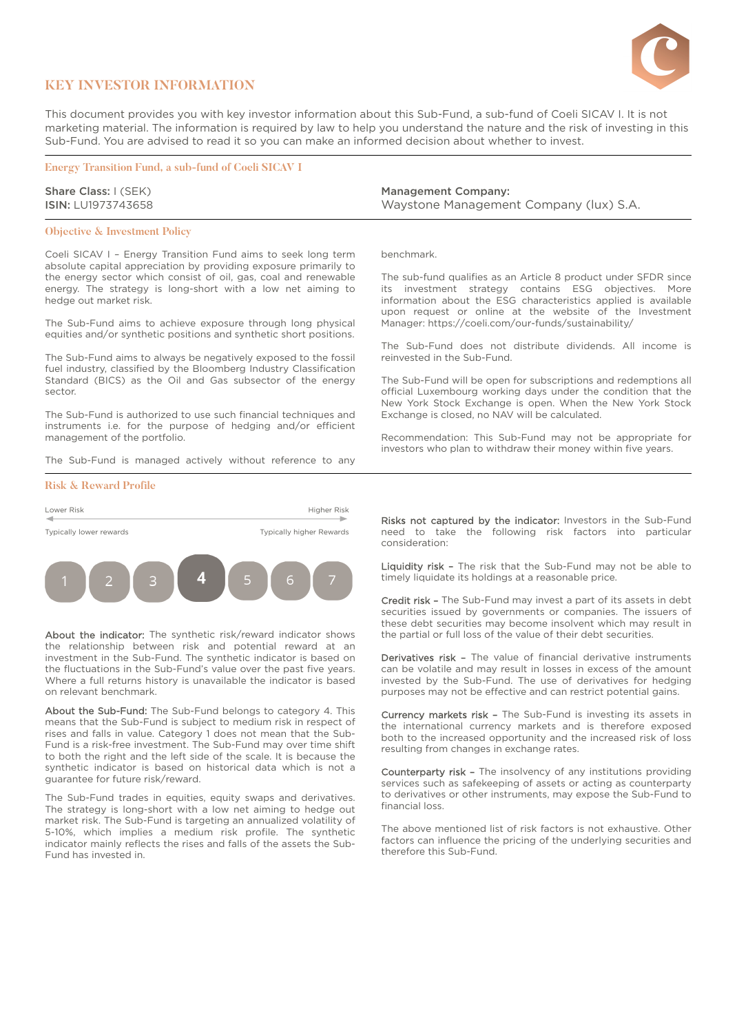

## **KEY INVESTOR INFORMATION**

This document provides you with key investor information about this Sub-Fund, a sub-fund of Coeli SICAV I. It is not marketing material. The information is required by law to help you understand the nature and the risk of investing in this Sub-Fund. You are advised to read it so you can make an informed decision about whether to invest.

**Energy Transition Fund, a sub-fund of Coeli SICAV I**

Share Class: I (SEK) ISIN: LU1973743658

### **Objective & Investment Policy**

Coeli SICAV I – Energy Transition Fund aims to seek long term absolute capital appreciation by providing exposure primarily to the energy sector which consist of oil, gas, coal and renewable energy. The strategy is long-short with a low net aiming to hedge out market risk.

The Sub-Fund aims to achieve exposure through long physical equities and/or synthetic positions and synthetic short positions.

The Sub-Fund aims to always be negatively exposed to the fossil fuel industry, classified by the Bloomberg Industry Classification Standard (BICS) as the Oil and Gas subsector of the energy sector.

The Sub-Fund is authorized to use such financial techniques and instruments i.e. for the purpose of hedging and/or efficient management of the portfolio.

The Sub-Fund is managed actively without reference to any

#### **Risk & Reward Profile**



About the indicator: The synthetic risk/reward indicator shows the relationship between risk and potential reward at an investment in the Sub-Fund. The synthetic indicator is based on the fluctuations in the Sub-Fund's value over the past five years. Where a full returns history is unavailable the indicator is based on relevant benchmark.

About the Sub-Fund: The Sub-Fund belongs to category 4. This means that the Sub-Fund is subject to medium risk in respect of rises and falls in value. Category 1 does not mean that the Sub-Fund is a risk-free investment. The Sub-Fund may over time shift to both the right and the left side of the scale. It is because the synthetic indicator is based on historical data which is not a guarantee for future risk/reward.

The Sub-Fund trades in equities, equity swaps and derivatives. The strategy is long-short with a low net aiming to hedge out market risk. The Sub-Fund is targeting an annualized volatility of 5-10%, which implies a medium risk profile. The synthetic indicator mainly reflects the rises and falls of the assets the Sub-Fund has invested in.

Management Company: Waystone Management Company (lux) S.A.

benchmark.

The sub-fund qualifies as an Article 8 product under SFDR since its investment strategy contains ESG objectives. More information about the ESG characteristics applied is available upon request or online at the website of the Investment Manager: <https://coeli.com/our-funds/sustainability/>

The Sub-Fund does not distribute dividends. All income is reinvested in the Sub-Fund.

The Sub-Fund will be open for subscriptions and redemptions all official Luxembourg working days under the condition that the New York Stock Exchange is open. When the New York Stock Exchange is closed, no NAV will be calculated.

Recommendation: This Sub-Fund may not be appropriate for investors who plan to withdraw their money within five years.

Risks not captured by the indicator: Investors in the Sub-Fund need to take the following risk factors into particular consideration:

Liquidity risk - The risk that the Sub-Fund may not be able to timely liquidate its holdings at a reasonable price.

Credit risk – The Sub-Fund may invest a part of its assets in debt securities issued by governments or companies. The issuers of these debt securities may become insolvent which may result in the partial or full loss of the value of their debt securities.

Derivatives risk - The value of financial derivative instruments can be volatile and may result in losses in excess of the amount invested by the Sub-Fund. The use of derivatives for hedging purposes may not be effective and can restrict potential gains.

Currency markets risk – The Sub-Fund is investing its assets in the international currency markets and is therefore exposed both to the increased opportunity and the increased risk of loss resulting from changes in exchange rates.

Counterparty risk - The insolvency of any institutions providing services such as safekeeping of assets or acting as counterparty to derivatives or other instruments, may expose the Sub-Fund to financial loss.

The above mentioned list of risk factors is not exhaustive. Other factors can influence the pricing of the underlying securities and therefore this Sub-Fund.